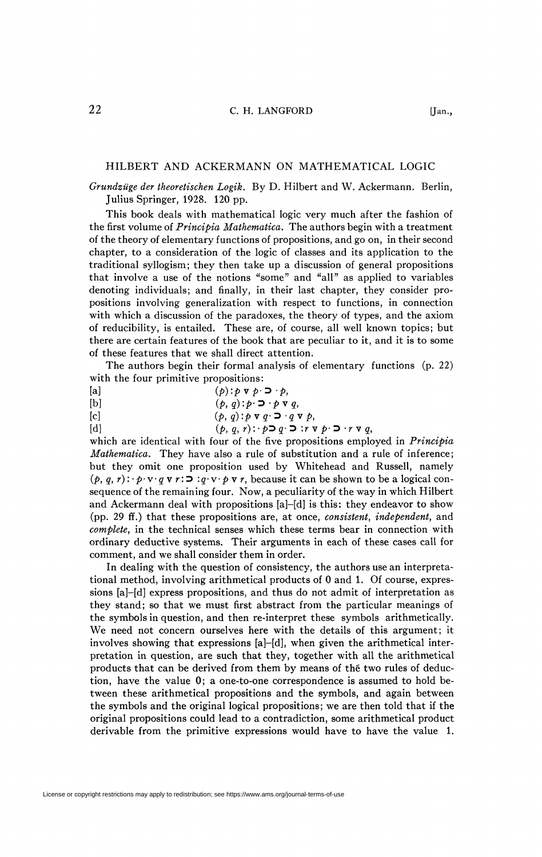## HILBERT AND ACKERMANN ON MATHEMATICAL LOGIC

*Grundzüge der theoretischen Logik.* By D. Hubert and W. Ackermann. Berlin, Julius Springer, 1928. 120 pp.

This book deals with mathematical logic very much after the fashion of the first volume of *Principia Mathematica,* The authors begin with a treatment of the theory of elementary functions of propositions, and go on, in their second chapter, to a consideration of the logic of classes and its application to the traditional syllogism; they then take up a discussion of general propositions that involve a use of the notions "some" and "all" as applied to variables denoting individuals; and finally, in their last chapter, they consider propositions involving generalization with respect to functions, in connection with which a discussion of the paradoxes, the theory of types, and the axiom of reducibility, is entailed. These are, of course, all well known topics; but there are certain features of the book that are peculiar to it, and it is to some of these features that we shall direct attention.

The authors begin their formal analysis of elementary functions (p. 22) with the four primitive propositions:

- [a]  $(p): p \times p \cdot \mathbf{D} \cdot p$ ,<br>
[b]  $(p, q): p \cdot \mathbf{D} \cdot p \times p$
- $(p, q): p \cdot \mathbf{D} \cdot p \cdot q$
- $[\mathbf{c}]$   $(p, q): p \mathbf{v} q \cdot \mathbf{D} \cdot q \mathbf{v} p,$
- [d]  $(p, q, r): p \supset q \supset r \supset r \supset r \supset q$ ,

which are identical with four of the five propositions employed in *Principia Mathematica.* They have also a rule of substitution and a rule of inference; but they omit one proposition used by Whitehead and Russell, namely  $(p, q, r): p \cdot v \cdot q \cdot r: \mathbf{D} : q \cdot v \cdot p \cdot r$ , because it can be shown to be a logical consequence of the remaining four. Now, a peculiarity of the way in which Hilbert and Ackermann deal with propositions [a]-[d] is this: they endeavor to show (pp. 29 ff.) that these propositions are, at once, *consistent*, *independent*, and *complete,* in the technical senses which these terms bear in connection with ordinary deductive systems. Their arguments in each of these cases call for comment, and we shall consider them in order.

In dealing with the question of consistency, the authors use an interpretational method, involving arithmetical products of 0 and 1. Of course, expressions [a]-[d] express propositions, and thus do not admit of interpretation as they stand; so that we must first abstract from the particular meanings of the symbols in question, and then re-interpret these symbols arithmetically. We need not concern ourselves here with the details of this argument; it involves showing that expressions  $[a]$ - $[d]$ , when given the arithmetical interpretation in question, are such that they, together with all the arithmetical products that can be derived from them by means of thé two rules of deduction, have the value 0; a one-to-one correspondence is assumed to hold between these arithmetical propositions and the symbols, and again between the symbols and the original logical propositions; we are then told that if the original propositions could lead to a contradiction, some arithmetical product derivable from the primitive expressions would have to have the value 1.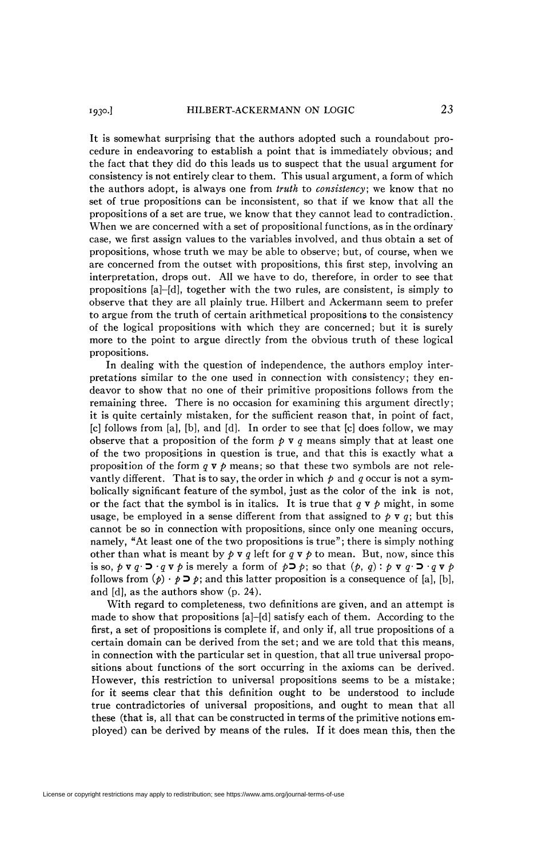193°-] HILBERT-ACKERMANN ON LOGIC **23** 

It is somewhat surprising that the authors adopted such a roundabout procedure in endeavoring to establish a point that is immediately obvious; and the fact that they did do this leads us to suspect that the usual argument for consistency is not entirely clear to them. This usual argument, a form of which the authors adopt, is always one from *truth* to *consistency,* we know that no set of true propositions can be inconsistent, so that if we know that all the propositions of a set are true, we know that they cannot lead to contradiction. When we are concerned with a set of propositional functions, as in the ordinary case, we first assign values to the variables involved, and thus obtain a set of propositions, whose truth we may be able to observe; but, of course, when we are concerned from the outset with propositions, this first step, involving an interpretation, drops out. All we have to do, therefore, in order to see that propositions [a]-[d], together with the two rules, are consistent, is simply to observe that they are all plainly true. Hilbert and Ackermann seem to prefer to argue from the truth of certain arithmetical propositions to the consistency of the logical propositions with which they are concerned; but it is surely more to the point to argue directly from the obvious truth of these logical propositions.

In dealing with the question of independence, the authors employ interpretations similar to the one used in connection with consistency; they endeavor to show that no one of their primitive propositions follows from the remaining three. There is no occasion for examining this argument directly; it is quite certainly mistaken, for the sufficient reason that, in point of fact, [c] follows from [a], [b], and [d]. In order to see that [c] does follow, we may observe that a proposition of the form  $p \nabla q$  means simply that at least one of the two propositions in question is true, and that this is exactly what a proposition of the form  $q \nabla p$  means; so that these two symbols are not relevantly different. That is to say, the order in which *p* and *q* occur is not a symbolically significant feature of the symbol, just as the color of the ink is not, or the fact that the symbol is in italics. It is true that  $q \times p$  might, in some usage, be employed in a sense different from that assigned to  $p \nabla q$ ; but this cannot be so in connection with propositions, since only one meaning occurs, namely, "At least one of the two propositions is true"; there is simply nothing other than what is meant by  $\rho \mathbf{v} q$  left for  $q \mathbf{v} p$  to mean. But, now, since this is so,  $p \vee q \cdot \mathbf{D} \cdot q \vee p$  is merely a form of  $p \triangleright p$ ; so that  $(p, q) : p \vee q \cdot \mathbf{D} \cdot q \vee p$ follows from  $(p) \cdot p \supset p$ ; and this latter proposition is a consequence of [a], [b], and [d], as the authors show (p. 24).

With regard to completeness, two definitions are given, and an attempt is made to show that propositions  $[a]$ -[d] satisfy each of them. According to the first, a set of propositions is complete if, and only if, all true propositions of a certain domain can be derived from the set; and we are told that this means, in connection with the particular set in question, that all true universal propositions about functions of the sort occurring in the axioms can be derived. However, this restriction to universal propositions seems to be a mistake; for it seems clear that this definition ought to be understood to include true contradictories of universal propositions, and ought to mean that all these (that is, all that can be constructed in terms of the primitive notions employed) can be derived by means of the rules. If it does mean this, then the

License or copyright restrictions may apply to redistribution; see https://www.ams.org/journal-terms-of-use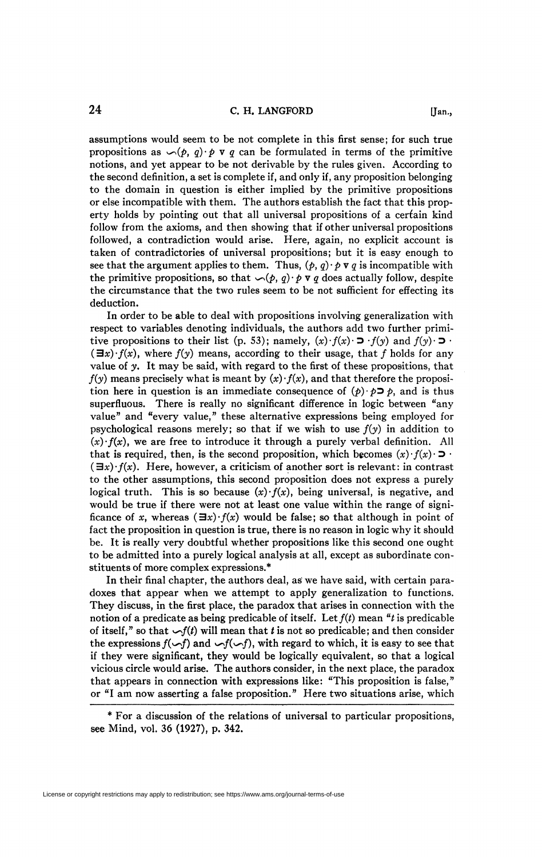assumptions would seem to be not complete in this first sense; for such true propositions as  $\Diamond(p, q) \cdot p \vee q$  can be formulated in terms of the primitive notions, and yet appear to be not derivable by the rules given. According to the second definition, a set is complete if, and only if, any proposition belonging to the domain in question is either implied by the primitive propositions or else incompatible with them. The authors establish the fact that this property holds by pointing out that all universal propositions of a certain kind follow from the axioms, and then showing that if other universal propositions followed, a contradiction would arise. Here, again, no explicit account is taken of contradictories of universal propositions; but it is easy enough to see that the argument applies to them. Thus,  $(p, q) \cdot p \nabla q$  is incompatible with the primitive propositions, so that  $\bigcirc$   $(p, q) \cdot p \vee q$  does actually follow, despite the circumstance that the two rules seem to be not sufficient for effecting its deduction.

In order to be able to deal with propositions involving generalization with respect to variables denoting individuals, the authors add two further primitive propositions to their list (p. 53); namely,  $(x) \cdot f(x) \cdot \mathbf{D} \cdot f(y)$  and  $f(y) \cdot \mathbf{D} \cdot f(y)$  $(\exists x) \cdot f(x)$ , where  $f(y)$  means, according to their usage, that f holds for any value of *y.* It may be said, with regard to the first of these propositions, that  $f(y)$  means precisely what is meant by  $(x) \cdot f(x)$ , and that therefore the proposition here in question is an immediate consequence of  $(p) \cdot p$ , and is thus superfluous. There is really no significant difference in logic between "any value" and "every value," these alternative expressions being employed for psychological reasons merely; so that if we wish to use  $f(y)$  in addition to  $(x) \cdot f(x)$ , we are free to introduce it through a purely verbal definition. All that is required, then, is the second proposition, which becomes  $(x) \cdot f(x) \cdot D$ .  $(\exists x) \cdot f(x)$ . Here, however, a criticism of another sort is relevant: in contrast to the other assumptions, this second proposition does not express a purely logical truth. This is so because  $(x) \cdot f(x)$ , being universal, is negative, and would be true if there were not at least one value within the range of significance of x, whereas  $(\exists x) \cdot f(x)$  would be false; so that although in point of fact the proposition in question is true, there is no reason in logic why it should be. It is really very doubtful whether propositions like this second one ought to be admitted into a purely logical analysis at all, except as subordinate constituents of more complex expressions.\*

In their final chapter, the authors deal, as we have said, with certain paradoxes that appear when we attempt to apply generalization to functions. They discuss, in the first place, the paradox that arises in connection with the notion of a predicate as being predicable of itself. Let  $f(t)$  mean "*t* is predicable of itself," so that *^f(t)* will mean that *t* is not so predicable; and then consider the expressions  $f(\sim f)$  and  $\sim f(\sim f)$ , with regard to which, it is easy to see that if they were significant, they would be logically equivalent, so that a logical vicious circle would arise. The authors consider, in the next place, the paradox that appears in connection with expressions like: "This proposition is false," or "I am now asserting a false proposition." Here two situations arise, which

<sup>\*</sup> For a discussion of the relations of universal to particular propositions, see Mind, vol. 36 (1927), p. 342.